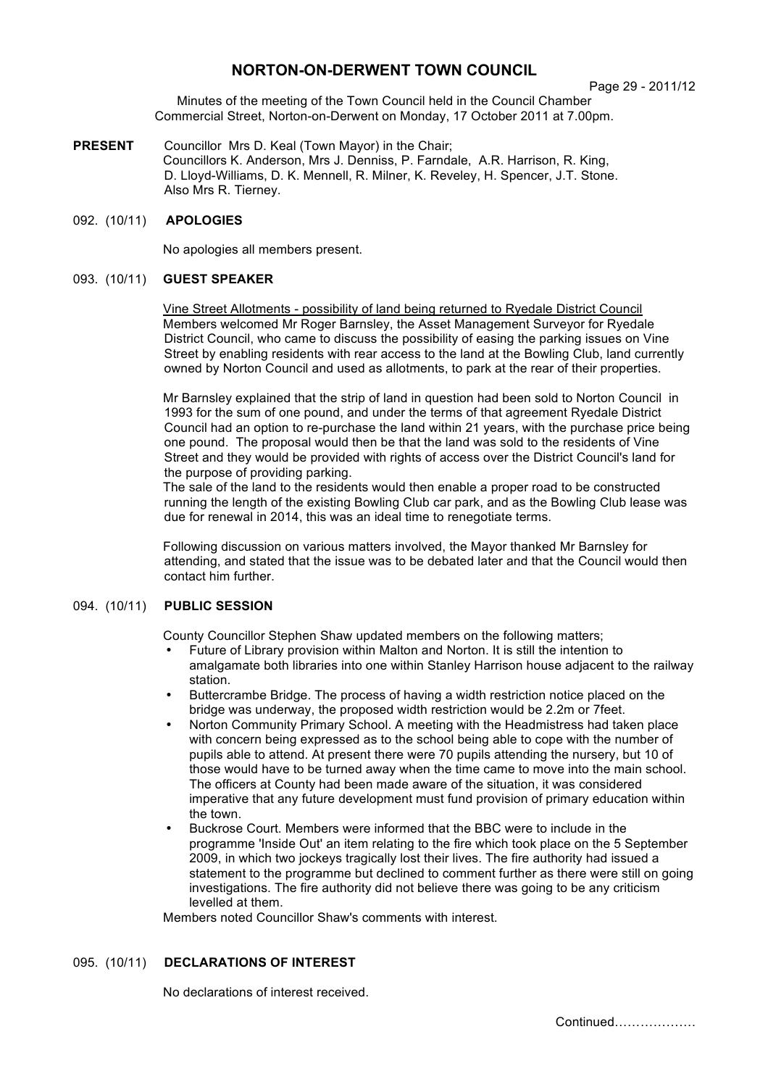# **NORTON-ON-DERWENT TOWN COUNCIL**

Page 29 - 2011/12

Minutes of the meeting of the Town Council held in the Council Chamber Commercial Street, Norton-on-Derwent on Monday, 17 October 2011 at 7.00pm.

**PRESENT** Councillor Mrs D. Keal (Town Mayor) in the Chair; Councillors K. Anderson, Mrs J. Denniss, P. Farndale, A.R. Harrison, R. King, D. Lloyd-Williams, D. K. Mennell, R. Milner, K. Reveley, H. Spencer, J.T. Stone. Also Mrs R. Tierney.

# 092. (10/11) **APOLOGIES**

No apologies all members present.

### 093. (10/11) **GUEST SPEAKER**

Vine Street Allotments - possibility of land being returned to Ryedale District Council Members welcomed Mr Roger Barnsley, the Asset Management Surveyor for Ryedale District Council, who came to discuss the possibility of easing the parking issues on Vine Street by enabling residents with rear access to the land at the Bowling Club, land currently owned by Norton Council and used as allotments, to park at the rear of their properties.

Mr Barnsley explained that the strip of land in question had been sold to Norton Council in 1993 for the sum of one pound, and under the terms of that agreement Ryedale District Council had an option to re-purchase the land within 21 years, with the purchase price being one pound. The proposal would then be that the land was sold to the residents of Vine Street and they would be provided with rights of access over the District Council's land for the purpose of providing parking.

The sale of the land to the residents would then enable a proper road to be constructed running the length of the existing Bowling Club car park, and as the Bowling Club lease was due for renewal in 2014, this was an ideal time to renegotiate terms.

Following discussion on various matters involved, the Mayor thanked Mr Barnsley for attending, and stated that the issue was to be debated later and that the Council would then contact him further.

# 094. (10/11) **PUBLIC SESSION**

County Councillor Stephen Shaw updated members on the following matters;

- Future of Library provision within Malton and Norton. It is still the intention to amalgamate both libraries into one within Stanley Harrison house adjacent to the railway station.
- Buttercrambe Bridge. The process of having a width restriction notice placed on the bridge was underway, the proposed width restriction would be 2.2m or 7feet.
- Norton Community Primary School. A meeting with the Headmistress had taken place with concern being expressed as to the school being able to cope with the number of pupils able to attend. At present there were 70 pupils attending the nursery, but 10 of those would have to be turned away when the time came to move into the main school. The officers at County had been made aware of the situation, it was considered imperative that any future development must fund provision of primary education within the town.
- Buckrose Court. Members were informed that the BBC were to include in the programme 'Inside Out' an item relating to the fire which took place on the 5 September 2009, in which two jockeys tragically lost their lives. The fire authority had issued a statement to the programme but declined to comment further as there were still on going investigations. The fire authority did not believe there was going to be any criticism levelled at them.

Members noted Councillor Shaw's comments with interest.

# 095. (10/11) **DECLARATIONS OF INTEREST**

No declarations of interest received.

Continued……………….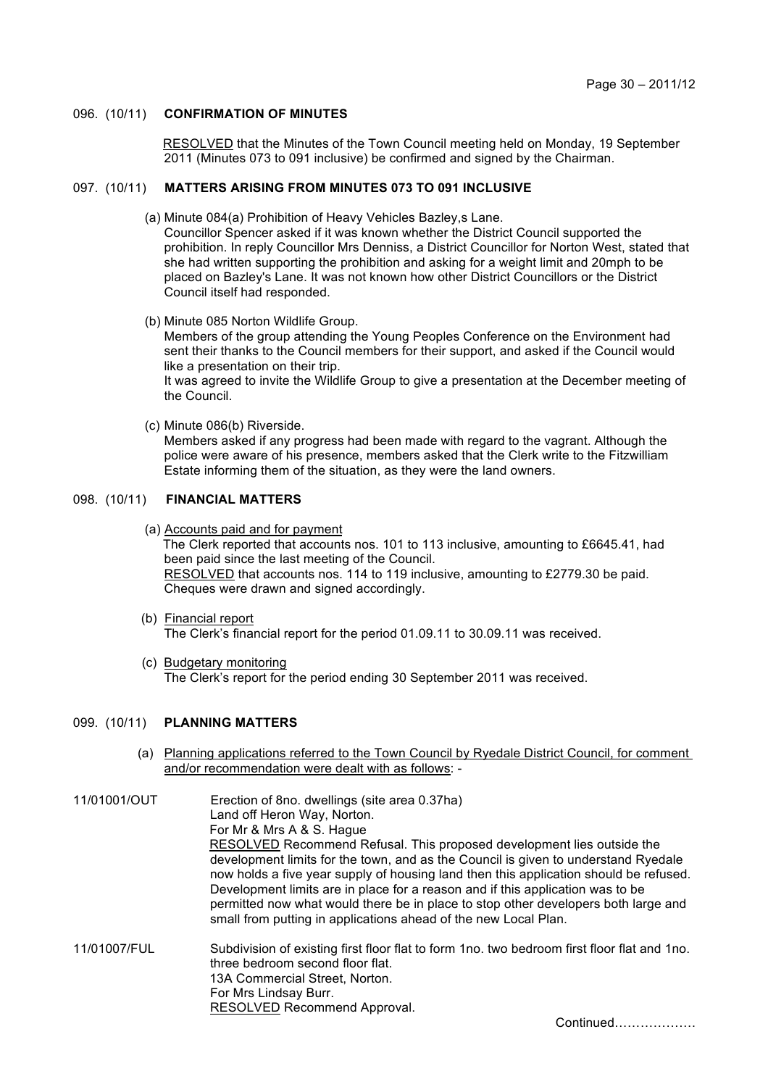### 096. (10/11) **CONFIRMATION OF MINUTES**

 RESOLVED that the Minutes of the Town Council meeting held on Monday, 19 September 2011 (Minutes 073 to 091 inclusive) be confirmed and signed by the Chairman.

### 097. (10/11) **MATTERS ARISING FROM MINUTES 073 TO 091 INCLUSIVE**

- (a) Minute 084(a) Prohibition of Heavy Vehicles Bazley,s Lane. Councillor Spencer asked if it was known whether the District Council supported the prohibition. In reply Councillor Mrs Denniss, a District Councillor for Norton West, stated that she had written supporting the prohibition and asking for a weight limit and 20mph to be placed on Bazley's Lane. It was not known how other District Councillors or the District Council itself had responded.
- (b) Minute 085 Norton Wildlife Group. Members of the group attending the Young Peoples Conference on the Environment had sent their thanks to the Council members for their support, and asked if the Council would like a presentation on their trip. It was agreed to invite the Wildlife Group to give a presentation at the December meeting of the Council.
- (c) Minute 086(b) Riverside. Members asked if any progress had been made with regard to the vagrant. Although the police were aware of his presence, members asked that the Clerk write to the Fitzwilliam Estate informing them of the situation, as they were the land owners.

# 098. (10/11) **FINANCIAL MATTERS**

- (a) Accounts paid and for payment The Clerk reported that accounts nos. 101 to 113 inclusive, amounting to £6645.41, had been paid since the last meeting of the Council. RESOLVED that accounts nos. 114 to 119 inclusive, amounting to £2779.30 be paid. Cheques were drawn and signed accordingly.
- (b) Financial report The Clerk's financial report for the period 01.09.11 to 30.09.11 was received.
- (c) Budgetary monitoring The Clerk's report for the period ending 30 September 2011 was received.

### 099. (10/11) **PLANNING MATTERS**

- (a) Planning applications referred to the Town Council by Ryedale District Council, for comment and/or recommendation were dealt with as follows: -
- 11/01001/OUT Erection of 8no. dwellings (site area 0.37ha) Land off Heron Way, Norton. For Mr & Mrs A & S. Hague RESOLVED Recommend Refusal. This proposed development lies outside the development limits for the town, and as the Council is given to understand Ryedale now holds a five year supply of housing land then this application should be refused. Development limits are in place for a reason and if this application was to be permitted now what would there be in place to stop other developers both large and small from putting in applications ahead of the new Local Plan.
- 11/01007/FUL Subdivision of existing first floor flat to form 1no. two bedroom first floor flat and 1no. three bedroom second floor flat. 13A Commercial Street, Norton. For Mrs Lindsay Burr. RESOLVED Recommend Approval.

Continued……………….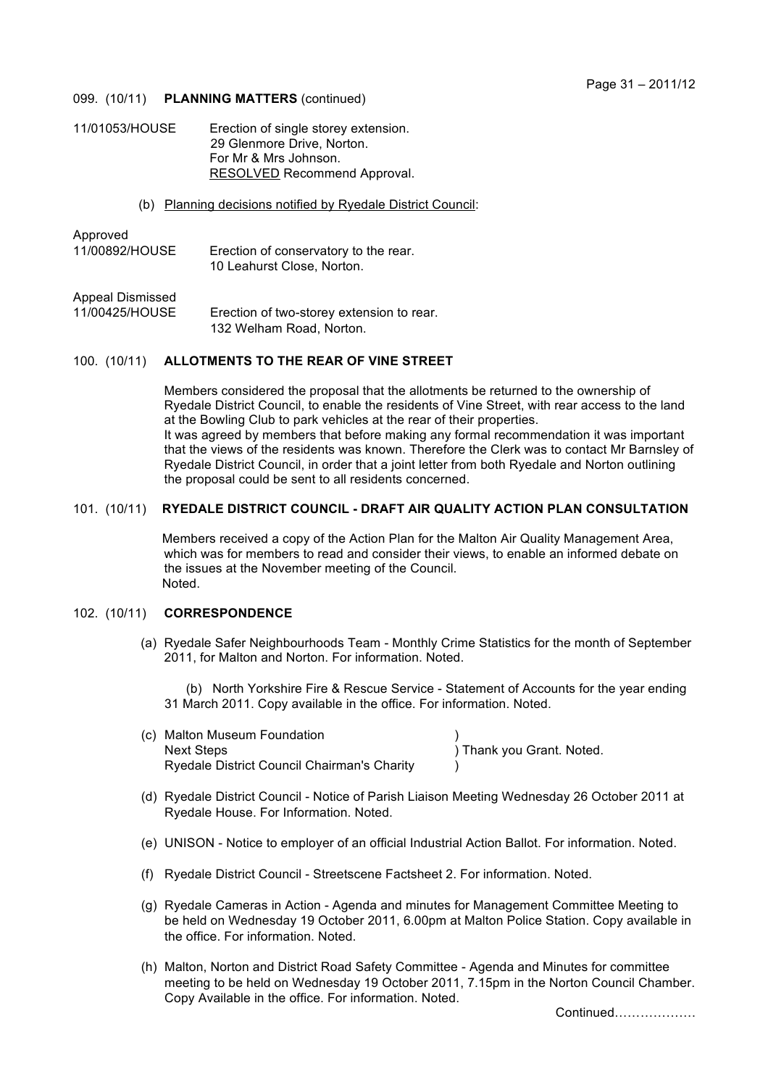#### 099. (10/11) **PLANNING MATTERS** (continued)

| Erection of single storey extension. |
|--------------------------------------|
| 29 Glenmore Drive, Norton.           |
| For Mr & Mrs Johnson.                |
| RESOLVED Recommend Approval.         |
|                                      |

#### (b) Planning decisions notified by Ryedale District Council:

Approved

11/00892/HOUSE Erection of conservatory to the rear. 10 Leahurst Close, Norton.

Appeal Dismissed

11/00425/HOUSE Erection of two-storey extension to rear. 132 Welham Road, Norton.

## 100. (10/11) **ALLOTMENTS TO THE REAR OF VINE STREET**

 Members considered the proposal that the allotments be returned to the ownership of Ryedale District Council, to enable the residents of Vine Street, with rear access to the land at the Bowling Club to park vehicles at the rear of their properties. It was agreed by members that before making any formal recommendation it was important that the views of the residents was known. Therefore the Clerk was to contact Mr Barnsley of Ryedale District Council, in order that a joint letter from both Ryedale and Norton outlining the proposal could be sent to all residents concerned.

#### 101. (10/11) **RYEDALE DISTRICT COUNCIL - DRAFT AIR QUALITY ACTION PLAN CONSULTATION**

 Members received a copy of the Action Plan for the Malton Air Quality Management Area, which was for members to read and consider their views, to enable an informed debate on the issues at the November meeting of the Council. Noted.

# 102. (10/11) **CORRESPONDENCE**

 (a) Ryedale Safer Neighbourhoods Team - Monthly Crime Statistics for the month of September 2011, for Malton and Norton. For information. Noted.

 (b) North Yorkshire Fire & Rescue Service - Statement of Accounts for the year ending 31 March 2011. Copy available in the office. For information. Noted.

- (c) Malton Museum Foundation ) Next Steps ) Thank you Grant. Noted. Ryedale District Council Chairman's Charity )
- (d) Ryedale District Council Notice of Parish Liaison Meeting Wednesday 26 October 2011 at Ryedale House. For Information. Noted.
- (e) UNISON Notice to employer of an official Industrial Action Ballot. For information. Noted.
- (f) Ryedale District Council Streetscene Factsheet 2. For information. Noted.
- (g) Ryedale Cameras in Action Agenda and minutes for Management Committee Meeting to be held on Wednesday 19 October 2011, 6.00pm at Malton Police Station. Copy available in the office. For information. Noted.
- (h) Malton, Norton and District Road Safety Committee Agenda and Minutes for committee meeting to be held on Wednesday 19 October 2011, 7.15pm in the Norton Council Chamber. Copy Available in the office. For information. Noted.

Continued……………….